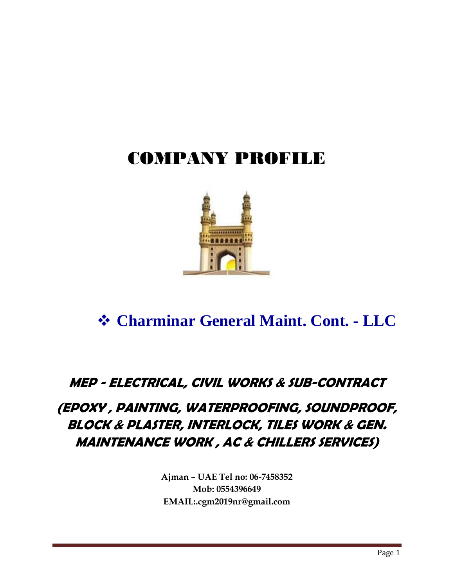# COMPANY PROFILE



### ❖ **Charminar General Maint. Cont. - LLC**

#### **MEP - ELECTRICAL, CIVIL WORKS & SUB-CONTRACT**

### **(EPOXY , PAINTING, WATERPROOFING, SOUNDPROOF, BLOCK & PLASTER, INTERLOCK, TILES WORK & GEN. MAINTENANCE WORK , AC & CHILLERS SERVICES)**

**Ajman – UAE Tel no: 06-7458352 Mob: 0554396649 EMAIL:.cgm2019nr@gmail.com**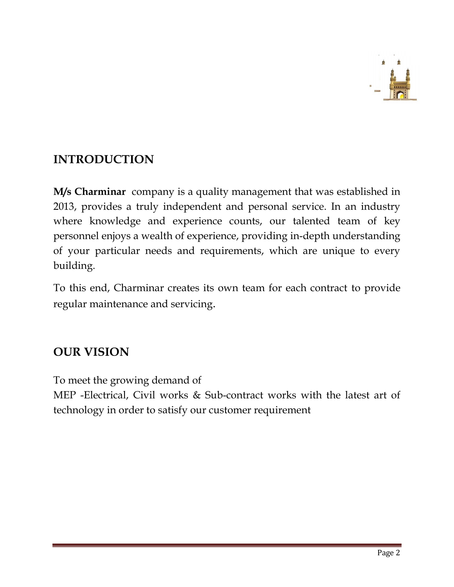

#### **INTRODUCTION**

**M/s Charminar** company is a quality management that was established in 2013, provides a truly independent and personal service. In an industry where knowledge and experience counts, our talented team of key personnel enjoys a wealth of experience, providing in-depth understanding of your particular needs and requirements, which are unique to every building.

To this end, Charminar creates its own team for each contract to provide regular maintenance and servicing.

#### **OUR VISION**

To meet the growing demand of

MEP -Electrical, Civil works & Sub-contract works with the latest art of technology in order to satisfy our customer requirement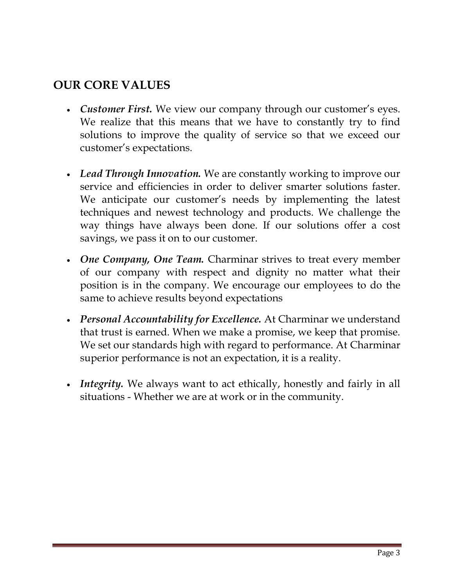#### **OUR CORE VALUES**

- *Customer First.* We view our company through our customer's eyes. We realize that this means that we have to constantly try to find solutions to improve the quality of service so that we exceed our customer's expectations.
- *Lead Through Innovation.* We are constantly working to improve our service and efficiencies in order to deliver smarter solutions faster. We anticipate our customer's needs by implementing the latest techniques and newest technology and products. We challenge the way things have always been done. If our solutions offer a cost savings, we pass it on to our customer.
- *One Company, One Team.* Charminar strives to treat every member of our company with respect and dignity no matter what their position is in the company. We encourage our employees to do the same to achieve results beyond expectations
- *Personal Accountability for Excellence.* At Charminar we understand that trust is earned. When we make a promise, we keep that promise. We set our standards high with regard to performance. At Charminar superior performance is not an expectation, it is a reality.
- *Integrity*. We always want to act ethically, honestly and fairly in all situations - Whether we are at work or in the community.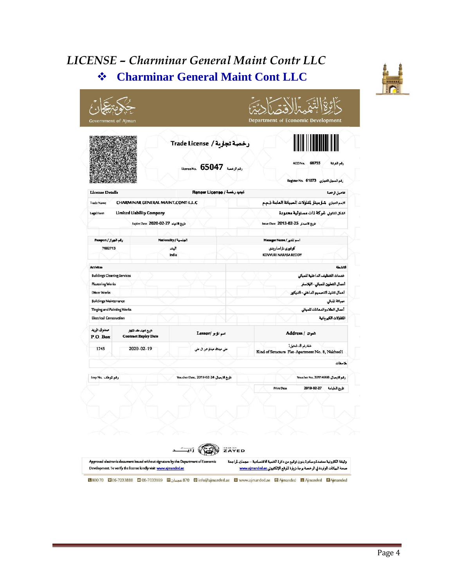### *LICENSE – Charminar General Maint Contr LLC* ❖ **Charminar General Maint Cont LLC**



| <b>Latin Wallen</b>                |                                                         |                               | License No. 65047                  | رخصة تجارية / Trade License                        |                                                                        | ACCINo. 68755<br>رقم المجل التجاري   Register No.   61073 | رقم الفرفة                       |  |
|------------------------------------|---------------------------------------------------------|-------------------------------|------------------------------------|----------------------------------------------------|------------------------------------------------------------------------|-----------------------------------------------------------|----------------------------------|--|
| License Details                    |                                                         |                               |                                    | تجنيد رخصة / Renew License                         |                                                                        |                                                           | تفاصيل الرخصة                    |  |
| <b>Trade Name</b>                  | CHARMINAR GENERAL MAINT.CONT-L.L.C                      |                               |                                    | لاسم النجزي شارميتار لمقاولات الصيانة العامة ذ.م.م |                                                                        |                                                           |                                  |  |
| Legal Form                         | Limited Liability Company                               |                               |                                    |                                                    |                                                                        | الشكل النابولي شركة ذأت مصلولية محلودة                    |                                  |  |
|                                    |                                                         | Expire Date 2020-02-27 sketch |                                    |                                                    |                                                                        | Issue Date 2013-02-25                                     |                                  |  |
|                                    |                                                         |                               |                                    |                                                    |                                                                        |                                                           |                                  |  |
| رقم الجواز/ Passport               |                                                         | الجنسية/ Nationality          |                                    |                                                    | اسم المدير/ Manager Name                                               |                                                           |                                  |  |
| 7692713                            |                                                         | البند<br>India                |                                    |                                                    | کوفوری ناراسارینی<br>KOVVURI NARASA REDDY                              |                                                           |                                  |  |
| Activites                          |                                                         |                               |                                    |                                                    |                                                                        |                                                           | الانشطة                          |  |
| <b>Buildings Cleaning Services</b> |                                                         |                               |                                    |                                                    |                                                                        | خدمات التنظيف الداخلية للمبانى                            |                                  |  |
| <b>Plastering Works</b>            |                                                         |                               |                                    |                                                    |                                                                        |                                                           | أعمال التطيين للمباني - البلاستر |  |
| Décor Works                        |                                                         |                               |                                    |                                                    |                                                                        | أعمال تتفيذ التصميم الداخلي - الديكور                     |                                  |  |
| <b>Buildings Maintenance</b>       |                                                         |                               |                                    |                                                    |                                                                        |                                                           | صيانة الماتي                     |  |
| Tinging and Painting Works         |                                                         |                               |                                    |                                                    |                                                                        |                                                           | أعمال الطلاءوالدهانات للمباني    |  |
| <b>Electrical Construction</b>     |                                                         |                               |                                    |                                                    |                                                                        |                                                           | المفاولات الكبربانية             |  |
| صنلوق الريد<br>$P.O.$ Box          | تاریخ انتهاء عقد الاتوار<br><b>Contract Expiry Date</b> |                               | اسم الزجر /Lessor                  |                                                    | Address / organ                                                        |                                                           |                                  |  |
| 1745                               | 2020-02-19                                              |                               | على عبدالله عبدالوحن ال على        |                                                    | شقة رقم 8، النخيل1<br>Kind of Structure Flat-Apartment No. 8, Nakheel1 |                                                           |                                  |  |
|                                    |                                                         |                               |                                    |                                                    |                                                                        |                                                           | للإحطات                          |  |
| رقم الموظف .Emp Nu                 |                                                         |                               | Voucher Date, 2019-02-24 والمسابقة |                                                    |                                                                        | رقم الايصال Voucher No. 30114998                          |                                  |  |
|                                    |                                                         |                               |                                    |                                                    | <b>Print Date</b>                                                      | 2019-02-27                                                | تاريخ الطباعة                    |  |
|                                    |                                                         |                               |                                    |                                                    |                                                                        |                                                           |                                  |  |
|                                    |                                                         |                               |                                    |                                                    |                                                                        |                                                           |                                  |  |
|                                    |                                                         |                               |                                    |                                                    |                                                                        |                                                           |                                  |  |
|                                    |                                                         |                               |                                    |                                                    |                                                                        |                                                           |                                  |  |
|                                    |                                                         |                               |                                    |                                                    |                                                                        |                                                           |                                  |  |
|                                    |                                                         |                               |                                    |                                                    |                                                                        |                                                           |                                  |  |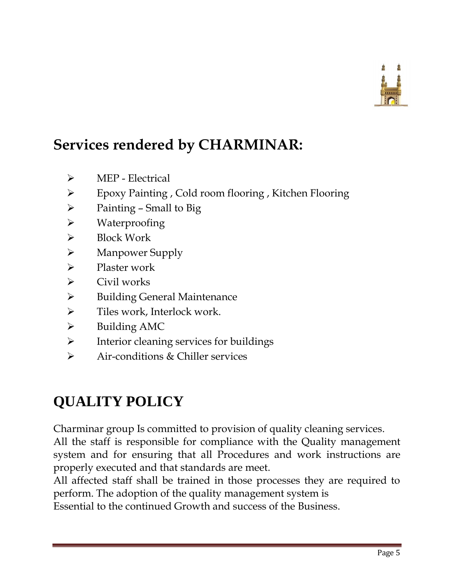

## **Services rendered by CHARMINAR:**

- ➢ MEP Electrical
- ➢ Epoxy Painting , Cold room flooring , Kitchen Flooring
- $\triangleright$  Painting Small to Big
- ➢ Waterproofing
- ➢ Block Work
- ➢ Manpower Supply
- ➢ Plaster work
- $\triangleright$  Civil works
- ➢ Building General Maintenance
- $\triangleright$  Tiles work, Interlock work.
- ➢ Building AMC
- ➢ Interior cleaning services for buildings
- ➢ Air-conditions & Chiller services

## **QUALITY POLICY**

Charminar group Is committed to provision of quality cleaning services. All the staff is responsible for compliance with the Quality management system and for ensuring that all Procedures and work instructions are properly executed and that standards are meet.

All affected staff shall be trained in those processes they are required to perform. The adoption of the quality management system is

Essential to the continued Growth and success of the Business.